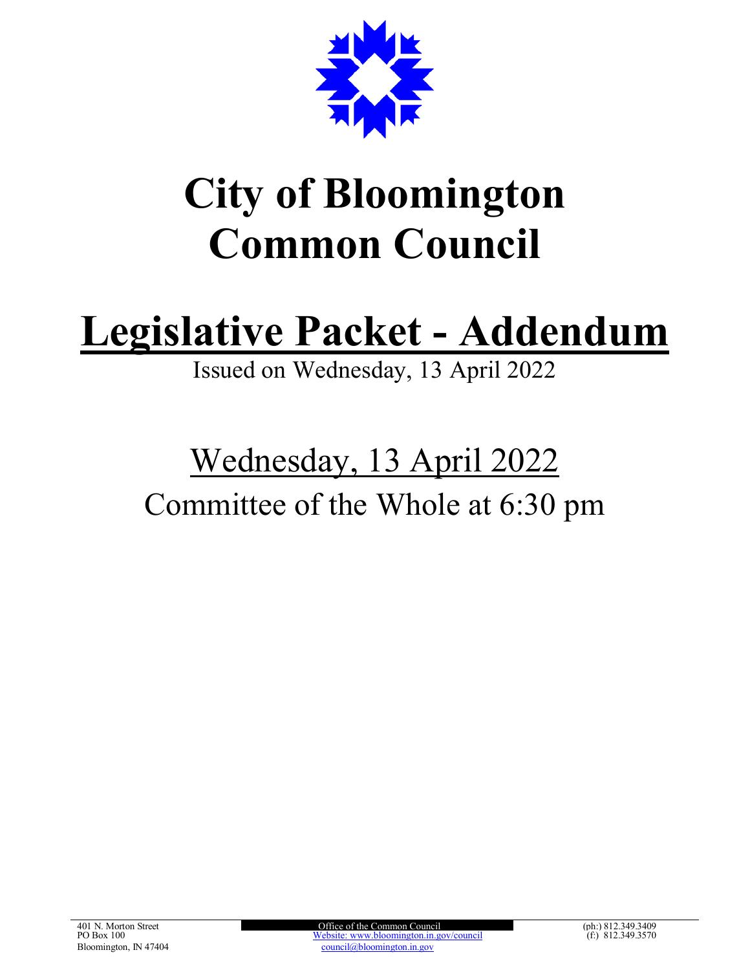

# **City of Bloomington Common Council**

# **Legislative Packet - Addendum**

Issued on Wednesday, 13 April 2022

## Wednesday, 13 April 2022 Committee of the Whole at 6:30 pm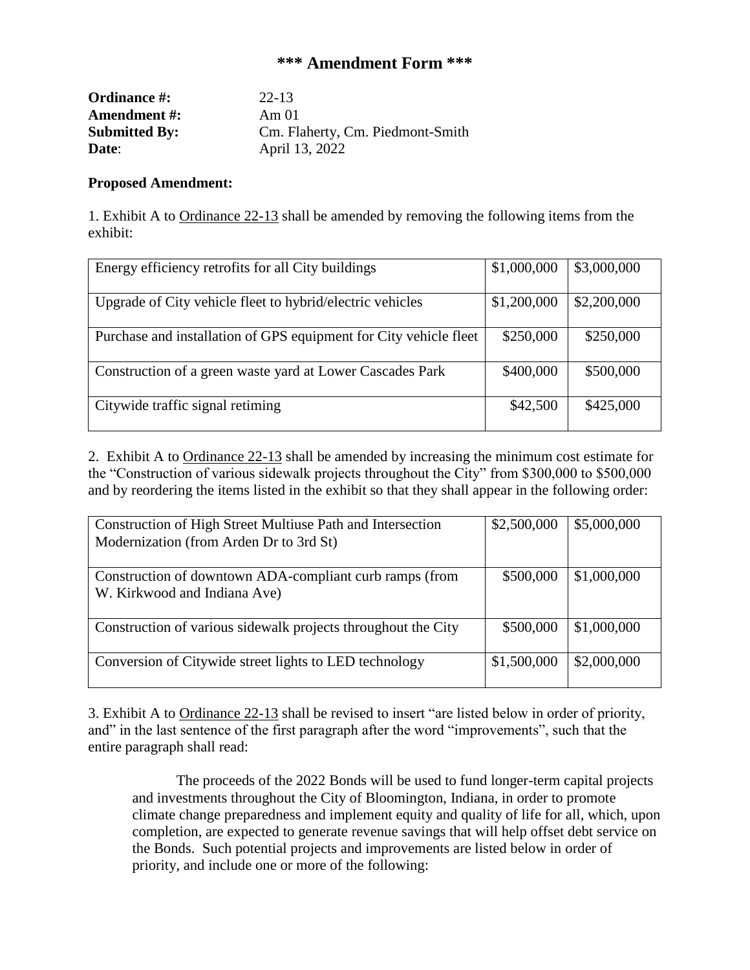### **\*\*\* Amendment Form \*\*\***

| <b>Ordinance #:</b>  | 22-13                            |
|----------------------|----------------------------------|
| <b>Amendment #:</b>  | Am 01                            |
| <b>Submitted By:</b> | Cm. Flaherty, Cm. Piedmont-Smith |
| Date:                | April 13, 2022                   |

#### **Proposed Amendment:**

1. Exhibit A to Ordinance 22-13 shall be amended by removing the following items from the exhibit:

| Energy efficiency retrofits for all City buildings                | \$1,000,000 | \$3,000,000 |
|-------------------------------------------------------------------|-------------|-------------|
| Upgrade of City vehicle fleet to hybrid/electric vehicles         | \$1,200,000 | \$2,200,000 |
| Purchase and installation of GPS equipment for City vehicle fleet | \$250,000   | \$250,000   |
| Construction of a green waste yard at Lower Cascades Park         | \$400,000   | \$500,000   |
| Citywide traffic signal retiming                                  | \$42,500    | \$425,000   |

2. Exhibit A to Ordinance 22-13 shall be amended by increasing the minimum cost estimate for the "Construction of various sidewalk projects throughout the City" from \$300,000 to \$500,000 and by reordering the items listed in the exhibit so that they shall appear in the following order:

| Construction of High Street Multiuse Path and Intersection<br>Modernization (from Arden Dr to 3rd St) | \$2,500,000 | \$5,000,000 |
|-------------------------------------------------------------------------------------------------------|-------------|-------------|
| Construction of downtown ADA-compliant curb ramps (from<br>W. Kirkwood and Indiana Ave)               | \$500,000   | \$1,000,000 |
| Construction of various sidewalk projects throughout the City                                         | \$500,000   | \$1,000,000 |
| Conversion of Citywide street lights to LED technology                                                | \$1,500,000 | \$2,000,000 |

3. Exhibit A to Ordinance 22-13 shall be revised to insert "are listed below in order of priority, and" in the last sentence of the first paragraph after the word "improvements", such that the entire paragraph shall read:

The proceeds of the 2022 Bonds will be used to fund longer-term capital projects and investments throughout the City of Bloomington, Indiana, in order to promote climate change preparedness and implement equity and quality of life for all, which, upon completion, are expected to generate revenue savings that will help offset debt service on the Bonds. Such potential projects and improvements are listed below in order of priority, and include one or more of the following: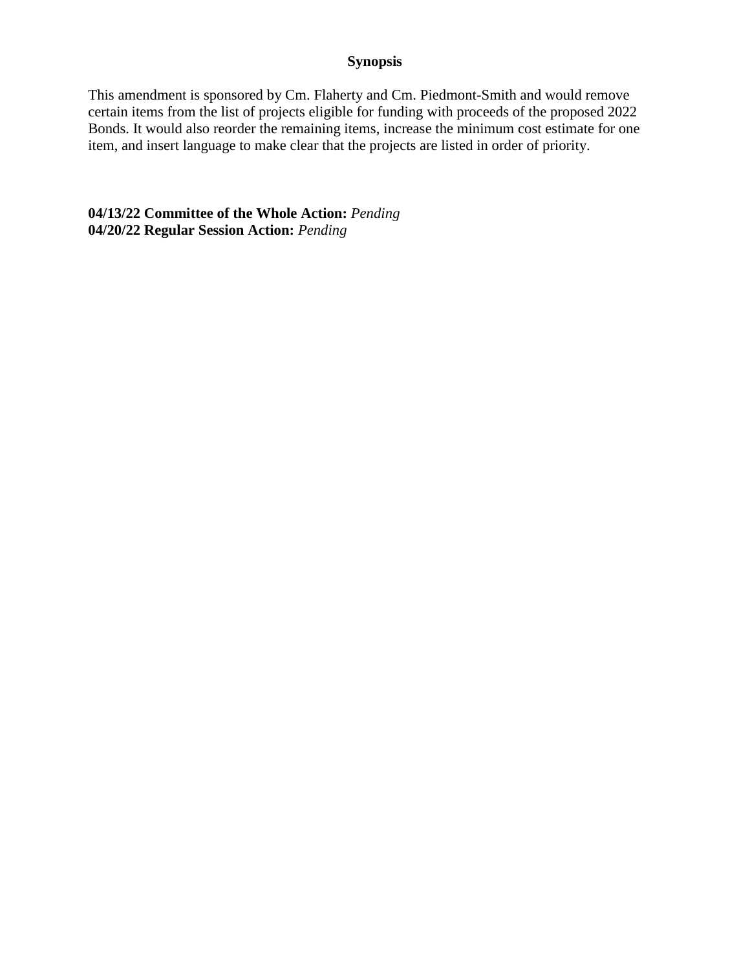#### **Synopsis**

This amendment is sponsored by Cm. Flaherty and Cm. Piedmont-Smith and would remove certain items from the list of projects eligible for funding with proceeds of the proposed 2022 Bonds. It would also reorder the remaining items, increase the minimum cost estimate for one item, and insert language to make clear that the projects are listed in order of priority.

**04/13/22 Committee of the Whole Action:** *Pending* **04/20/22 Regular Session Action:** *Pending*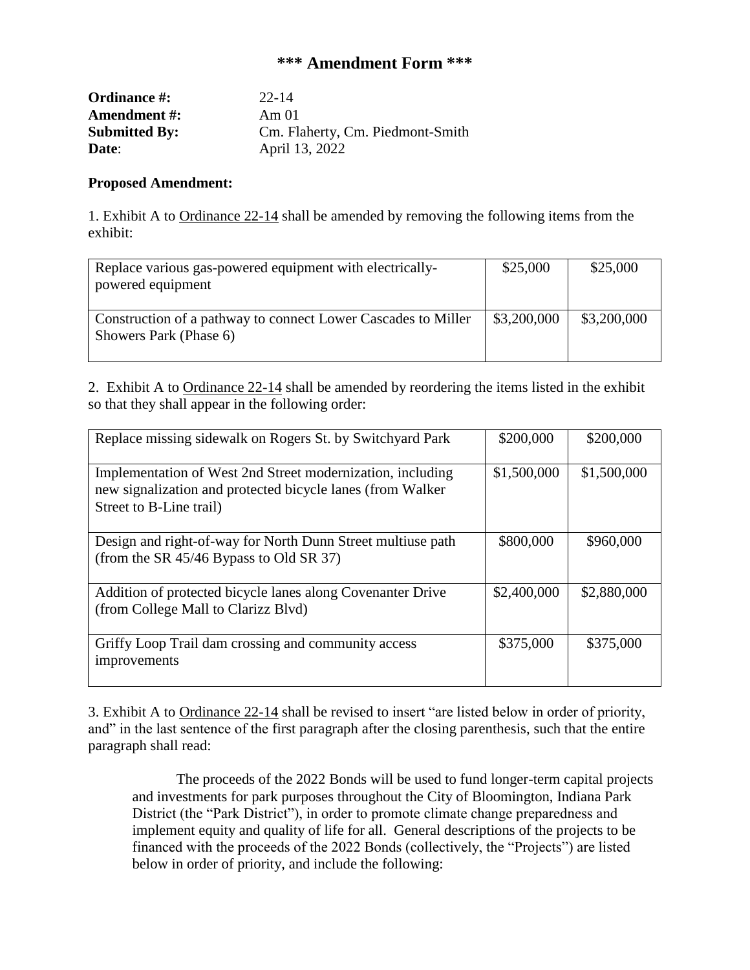### **\*\*\* Amendment Form \*\*\***

| <b>Ordinance #:</b>  | $22 - 14$                        |
|----------------------|----------------------------------|
| <b>Amendment #:</b>  | Am 01                            |
| <b>Submitted By:</b> | Cm. Flaherty, Cm. Piedmont-Smith |
| Date:                | April 13, 2022                   |

#### **Proposed Amendment:**

1. Exhibit A to Ordinance 22-14 shall be amended by removing the following items from the exhibit:

| Replace various gas-powered equipment with electrically-<br>powered equipment           | \$25,000    | \$25,000    |
|-----------------------------------------------------------------------------------------|-------------|-------------|
| Construction of a pathway to connect Lower Cascades to Miller<br>Showers Park (Phase 6) | \$3,200,000 | \$3,200,000 |

2. Exhibit A to Ordinance 22-14 shall be amended by reordering the items listed in the exhibit so that they shall appear in the following order:

| Replace missing sidewalk on Rogers St. by Switchyard Park                                                                                           | \$200,000   | \$200,000   |
|-----------------------------------------------------------------------------------------------------------------------------------------------------|-------------|-------------|
| Implementation of West 2nd Street modernization, including<br>new signalization and protected bicycle lanes (from Walker<br>Street to B-Line trail) | \$1,500,000 | \$1,500,000 |
| Design and right-of-way for North Dunn Street multiuse path<br>(from the SR $45/46$ Bypass to Old SR 37)                                            | \$800,000   | \$960,000   |
| Addition of protected bicycle lanes along Covenanter Drive<br>(from College Mall to Clarizz Blvd)                                                   | \$2,400,000 | \$2,880,000 |
| Griffy Loop Trail dam crossing and community access<br>improvements                                                                                 | \$375,000   | \$375,000   |

3. Exhibit A to Ordinance 22-14 shall be revised to insert "are listed below in order of priority, and" in the last sentence of the first paragraph after the closing parenthesis, such that the entire paragraph shall read:

The proceeds of the 2022 Bonds will be used to fund longer-term capital projects and investments for park purposes throughout the City of Bloomington, Indiana Park District (the "Park District"), in order to promote climate change preparedness and implement equity and quality of life for all. General descriptions of the projects to be financed with the proceeds of the 2022 Bonds (collectively, the "Projects") are listed below in order of priority, and include the following: